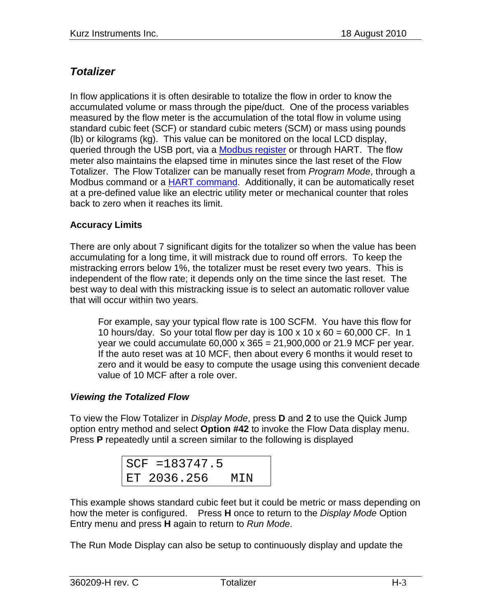## *Totalizer*

In flow applications it is often desirable to totalize the flow in order to know the accumulated volume or mass through the pipe/duct. One of the process variables measured by the flow meter is the accumulation of the total flow in volume using standard cubic feet (SCF) or standard cubic meters (SCM) or mass using pounds (lb) or kilograms (kg). This value can be monitored on the local LCD display, queried through the USB port, via a Modbus register or through HART. The flow meter also maintains the elapsed time in minutes since the last reset of the Flow Totalizer. The Flow Totalizer can be manually reset from *Program Mode*, through a Modbus command or a HART command. Additionally, it can be automatically reset at a pre-defined value like an electric utility meter or mechanical counter that roles back to zero when it reaches its limit.

## **Accuracy Limits**

There are only about 7 significant digits for the totalizer so when the value has been accumulating for a long time, it will mistrack due to round off errors. To keep the mistracking errors below 1%, the totalizer must be reset every two years. This is independent of the flow rate; it depends only on the time since the last reset. The best way to deal with this mistracking issue is to select an automatic rollover value that will occur within two years.

For example, say your typical flow rate is 100 SCFM. You have this flow for 10 hours/day. So your total flow per day is 100 x 10 x 60 = 60,000 CF. In 1 year we could accumulate 60,000 x 365 = 21,900,000 or 21.9 MCF per year. If the auto reset was at 10 MCF, then about every 6 months it would reset to zero and it would be easy to compute the usage using this convenient decade value of 10 MCF after a role over.

## *Viewing the Totalized Flow*

To view the Flow Totalizer in *Display Mode*, press **D** and **2** to use the Quick Jump option entry method and select **Option #42** to invoke the Flow Data display menu. Press **P** repeatedly until a screen similar to the following is displayed

| $SCF = 183747.5$ |     |
|------------------|-----|
| ET 2036.256      | MIN |

This example shows standard cubic feet but it could be metric or mass depending on how the meter is configured. Press **H** once to return to the *Display Mode* Option Entry menu and press **H** again to return to *Run Mode*.

The Run Mode Display can also be setup to continuously display and update the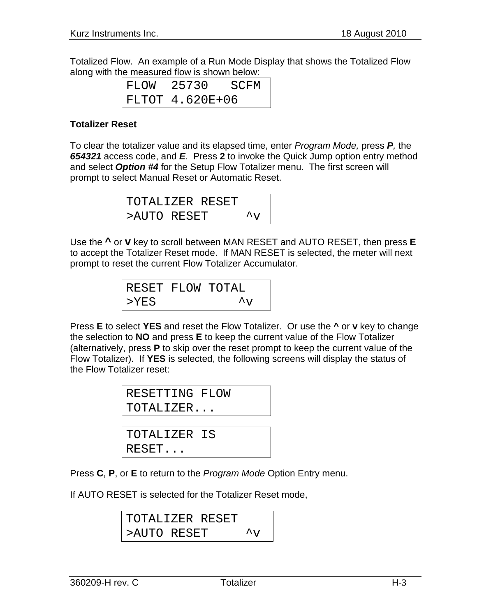Totalized Flow. An example of a Run Mode Display that shows the Totalized Flow along with the measured flow is shown below:

| FLOW | 25730           | SCFM |
|------|-----------------|------|
|      | FLTOT 4.620E+06 |      |

## **Totalizer Reset**

To clear the totalizer value and its elapsed time, enter *Program Mode,* press *P,* the *654321* access code, and *E.* Press **2** to invoke the Quick Jump option entry method and select *Option #4* for the Setup Flow Totalizer menu. The first screen will prompt to select Manual Reset or Automatic Reset.

| TOTALIZER RESET |  |                                       |
|-----------------|--|---------------------------------------|
| >AUTO RESET     |  | $\mathbf{A}_{\mathbf{X} \mathcal{F}}$ |

Use the **^** or **v** key to scroll between MAN RESET and AUTO RESET, then press **E** to accept the Totalizer Reset mode. If MAN RESET is selected, the meter will next prompt to reset the current Flow Totalizer Accumulator.

| RESET FLOW TOTAL |                      |  |
|------------------|----------------------|--|
| $>$ $YES$        | $\mathcal{L}_{\tau}$ |  |

Press **E** to select **YES** and reset the Flow Totalizer. Or use the **^** or **v** key to change the selection to **NO** and press **E** to keep the current value of the Flow Totalizer (alternatively, press **P** to skip over the reset prompt to keep the current value of the Flow Totalizer). If **YES** is selected, the following screens will display the status of the Flow Totalizer reset:

| RESETTING FLOW |  |
|----------------|--|
| TOTALIZER      |  |
|                |  |

TOTALIZER IS RESET...

Press **C**, **P**, or **E** to return to the *Program Mode* Option Entry menu.

If AUTO RESET is selected for the Totalizer Reset mode,

```
TOTALIZER RESET
>AUTO RESET ^{\sim}v
```